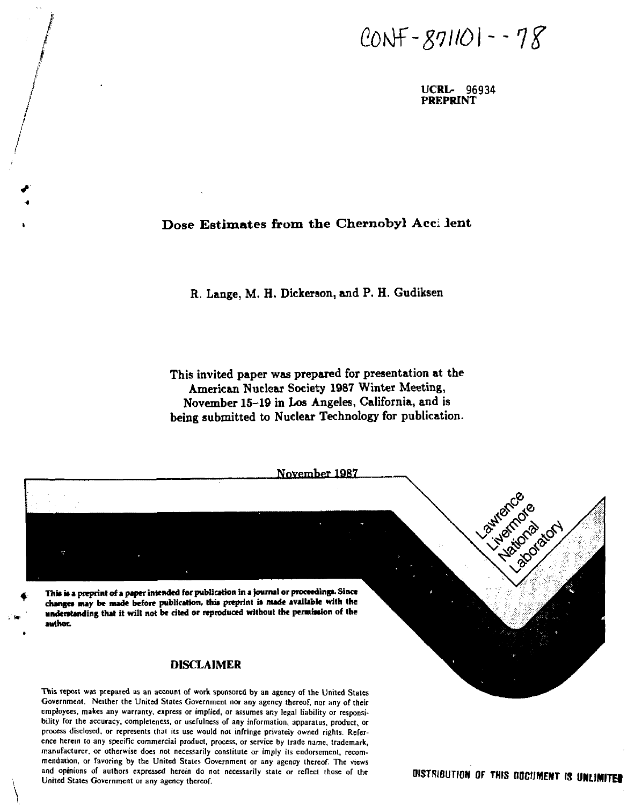# $CONF -g71101 - -78$

**UCRL- 96934 PREPRINT** 

# **Dos e Estimate s from the Chernobyl Acci Jent**

# **R. Lange, M. H. Dickerson, and P. H. Gudiksen**

**This invited paper was prepared for presentation at the American Nuclear Society 1987 Winter Meeting, November 15-19 in Los Angeles, California, and is being submitted to Nuclear Technology for publication.** 

**November 1987** 

This is a preprint of a paper intended for publication in a journal or proceedings. Since changes may be made before publication, this preprint is made available with the **understanding that it will not be cited or reproduced without the permission of the author.** 

#### **DISCLAIMER**

This report was prepared as an account of work sponsored by an agency of the United States Government. Neither the United States Government nor any agency thereof, nor any of their employees, makes any warranty, express or implied, or assumes any legal liability or responsibility for the accuracy, completeness, or usefulness of any information, apparatus, product, or process disclosed, or represents thai its use would not infringe privately owned rights. Reference herein to any specific commercial product, process, or service by trade name, trademark, manufacturer, or otherwise does not necessarily constitute or imply its endorsement, recommendation, or favoring by the United States Government or any agency thereof. The views and opinions of authors expressed herein do not necessarily state or reflect those of the and opinions of authors expressed herein do not necessarily state or reflect those of the **DISTRIBUTION OF THIS ODCUMENT IS UNLIMITER DISTRIBUTION OF THIS ODCUMENT IS UNLIMITER** 

Autorcoco **Castleff** 

Fredericky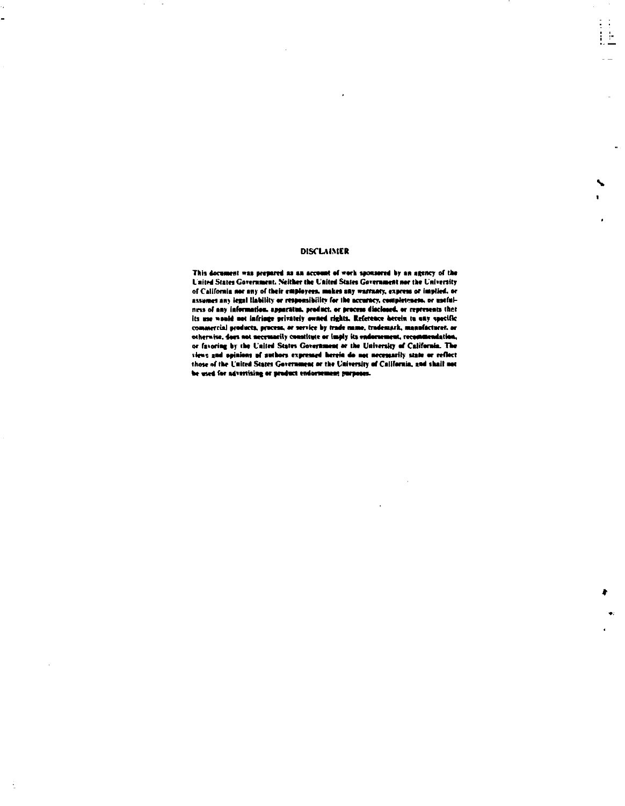#### **DISCLAIMER**

 $\frac{1}{2}$  .  $\frac{1}{2}$ LE

 $\bullet$ 

÷.

ü L

÷

This document was prepared as an account of work sponsored by an agency of the **L'nited States Government. Neither the United States Government nor the University** of California not any of their employees. makes any warranty, express or implied, or assumes any legal liability or responsibility for the accuracy, completeness, or usefulness of any information, apparatus, product, or process disclosed, or represents thet its use would not infringe privately owned rights. Reference herein to any specific comanercial products, process, or service by trade mame, trademark, manufacturer. or otherwise, does not accessarily constitute or langly its endorsement, recommendation, or favoring by the United States Government or the University of California. The views and opinions of authors expressed herein do not necessarily state or reflect those of the United States Government or the University of California, and shall not be used for advertising or product endorsement purposes.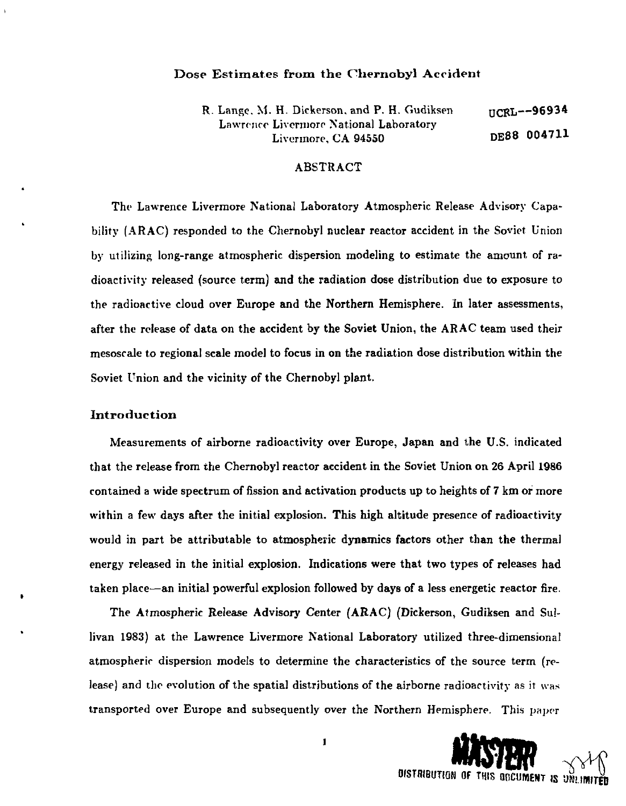#### Dose Estimates from the Chernobyl Accident

R. Lange. M. H. Dickerson. and P. H. Gudiksen UCRL--96934 Lawrence Livermoro National Laboratory Livcrmore, CA 94550 DE88 **004711** 

#### ABSTRACT

The Lawrence Livermore National Laboratory Atmospheric Release Advisory Capability (ARAC) responded to the Chernobyl nuclear reactor accident in the Soviet Union by utilizing long-range atmospheric dispersion modeling to estimate the amount of radioactivity released (source term) and the radiation dose distribution due to exposure to the radioactive cloud over Europe and the Northern Hemisphere, in later assessments, after the release of data on the accident by the Soviet Union, the ARAC team used their mesoscale to regional scale model to focus in on the radiation dose distribution within the Soviet Union and the vicinity of the Chernobyl plant.

# **Introduction**

Measurements of airborne radioactivity over Europe, Japan and the U.S. indicated that the release from the Chernobyl reactor accident in the Soviet Union on 26 April 1986 contained a wide spectrum of fission and activation products up to heights of 7 km or more within a few days after the initial explosion. This high altitude presence of radioactivity would in part be attributable to atmospheric dynamics factors other than the thermal energy released in the initial explosion. Indications were that two types of releases had taken place—an initial powerful explosion followed by days of a less energetic reactor fire.

The Atmospheric Release Advisory Center (ARAC) (Dickerson, Gudiksen and Sullivan 1983) at the Lawrence Livermore National Laboratory utilized three-dimensional atmospheric dispersion models to determine the characteristics of the source term (release) and the evolution of the spatial distributions of the airborne radioactivity as it was transported over Europe and subsequently over the Northern Hemisphere. This paper



 $\mathbf{I}$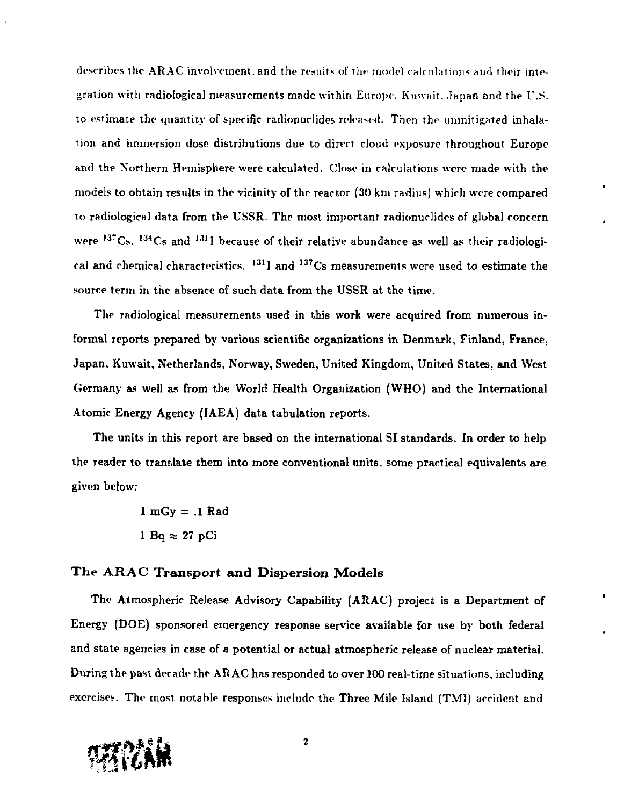describes the ARAC involvement, and the results of The model calculations and their integration with radiological measurements made within Europe. Kuwait. Japan and the U.S. to estimate the quantity of specific radionuclides released. Then the unmitigated inhalation and immersion dose distributions due to dirert cloud exposure throughout Europe and the Northern Hemisphere were calculated. Close in calculations wore made with the models to obtain results in the vicinity of the reactor (30 km radius) which were compared to radiological data from the USSR. The most important radionuclides of global concern were <sup>13</sup>'Cs. <sup>134</sup>Cs and <sup>131</sup>I because of their relative abundance as well as their radiolog cal and chemical characteristics. <sup>131</sup>I and <sup>137</sup>Cs measurements were used to estimate the source term in the absence of such data from the USSR at the time.

The radiological measurements used in this work were acquired from numerous informal reports prepared by various scientific organizations in Denmark, Finland, France, Japan, Kuwait, Netherlands, Norway, Sweden, United Kingdom, United States, and West Germany as well as from the World Health Organization (WHO) and the International Atomic Energy Agency (IAEA) data tabulation reports.

The units in this report are based on the international SI standards. In order to help the reader to translate them into more conventional units, some practical equivalents are given below:

> $1 \text{ mGy} = .1 \text{ Rad}$ 1 Bq  $\approx 27$  pCi

#### The ARAC Transport and Dispersion Models

The Atmospheric Release Advisory Capability (ARAC) project is a Department of Energy (DOE) sponsored emergency response service available for use by both federal and state agencies in case of a potential or actual atmospheric release of nuclear material. During the past decade the ARAC has responded to over 100 real-time situations, including exercises. The most notable responses include the Three Mile Island (TM1) accident and

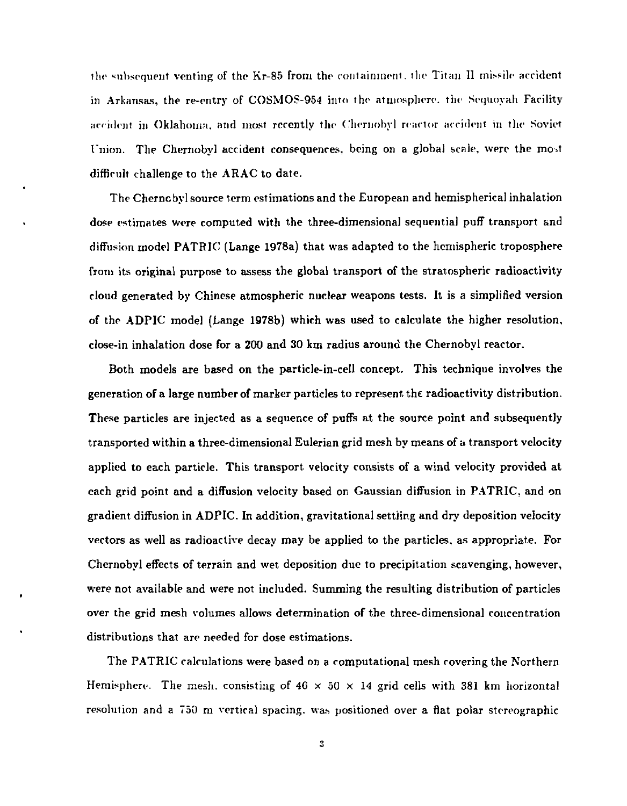the subsequent venting of the Kr-85 from the containment, the Titan II missile accident in Arkansas, the re-entry of COSMOS-954 into the atmosphere, the Sequoyah Facility accident in Oklahoma, and most recently the Chernobyl reactor accident in the Soviet Union. The Chernobyl accident consequences, being on a global scale, were the most difficult challenge to the ARAC to date.

The Chernobyl source term estimations and the European and hemispherical inhalation dose estimates were computed with the three-dimensional sequential puff transport and diffusion model PATRIC (Lange 1978a) that was adapted to the hemispheric troposphere from its original purpose to assess the global transport of the stratospheric radioactivity cloud generated by Chinese atmospheric nuclear weapons tests. It is a simplified version of the ADPIC model (Lange 1978b) which was used to calculate the higher resolution, close-in inhalation dose for a 200 and 30 km radius around the Chernobyl reactor.

Both models are based on the particle-in-cell concept. This technique involves the generation of a large number of marker particles to represent the radioactivity distribution. These particles are injected as a sequence of puffs at the source point and subsequently transported within a three-dimensional Eulerian grid mesh by means of a transport velocity applied to each particle. This transport velocity consists of a wind velocity provided at each grid point and a diffusion velocity based on Gaussian diffusion in PATRIC, and on gradient diffusion in ADPIC. In addition, gravitational settling and dry deposition velocity vectors as well as radioactive decay may be applied to the particles, as appropriate. For Chernobyl effects of terrain and wet deposition due to precipitation scavenging, however, were not available and were not included. Summing the resulting distribution of particles over the grid mesh volumes allows determination of the three-dimensional concentration distributions that are needed for dose estimations.

The PATRIC calculations were based on a computational mesh covering the Northern Hemisphere. The mesh, consisting of  $46 \times 50 \times 14$  grid cells with 381 km horizontal resolution and a 750 m vertical spacing, was positioned over a flat polar stereographic

 $\ddot{\phantom{0}}$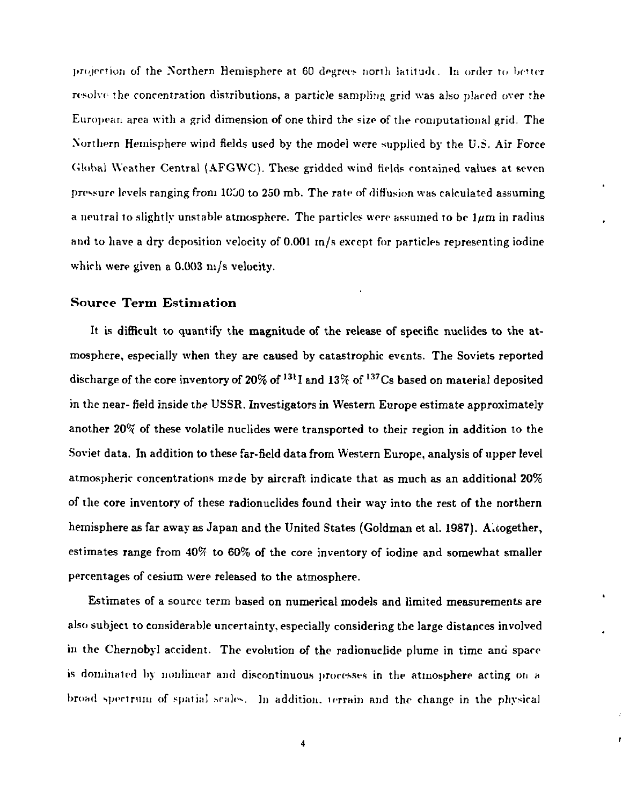projection of the Northern Hemisphere at 60 degrees north latitudc. In order to better resolve the concentration distributions, a particle sampling grid was also placed over the European area with a grid dimension of one third the size of the computational grid. The Northern Hemisphere wind fields used by the model were supplied by the U.S. Air Force Global Weather Central (AFGWC). These gridded wind fields contained values at seven pressure levels ranging from IOJO to 250 mb. The rate of diffusion was calculated assuming a neutral to slightly unstable atmosphere. The particles were assumed to be  $1\mu$ m in radius and to have a dry deposition velocity of 0.001 m/s except for particles representing iodine which were given a 0.003 m/s velocity.

#### **Source Term Estimation**

It is difficult to quantify the magnitude of the release of specific nuclides to the atmosphere, especially when they are caused by catastrophic events. The Soviets reported discharge of the core inventory of 20% of <sup>131</sup>I and 13% of <sup>137</sup>Cs based on material deposited in the near- field inside the USSR. Investigators in Western Europe estimate approximately another 20% of these volatile nuclides were transported to their region in addition to the Soviet data. In addition to these far-field data from Western Europe, analysis of upper level atmospheric concentrations mzde by aircraft indicate that as much as an additional 20% of the core inventory of these radionuclides found their way into the rest of the northern hemisphere as far away as Japan and the United States (Goldman et al. 1987). Altogether, estimates range from 40% to 60% of the core inventory of iodine and somewhat smaller percentages of cesium were released to the atmosphere.

Estimates of a source term based on numerical models and limited measurements are also subject to considerable uncertainty, especially considering the large distances involved in the Chernobyl accident. The evolution of the radionuclide plume in time and space is dominated by nonlinear and discontinuous processes in the atmosphere acting on a broad spectrum of spatial scales. In addition, terrain and the change in the physical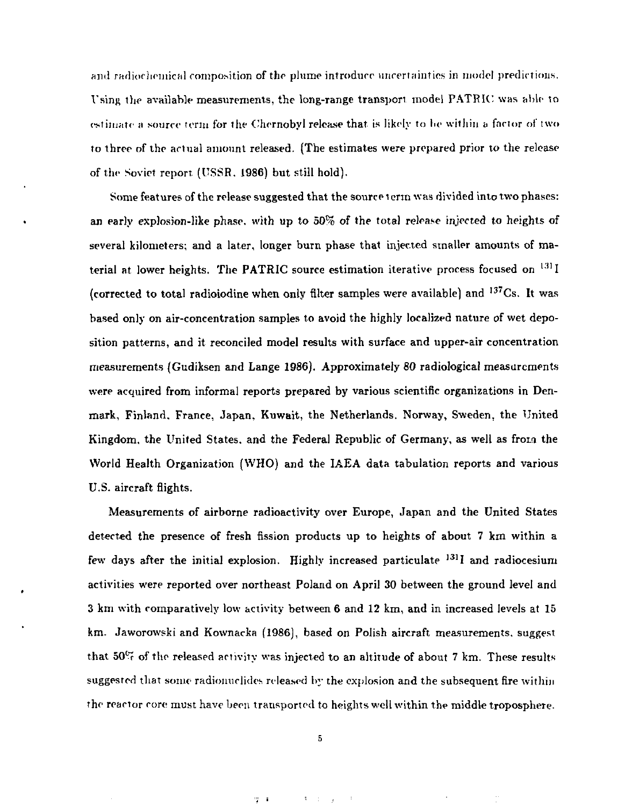ami radiochemical composition of the plume introduce uncertainties in model predictions. Using the available measurements, the long-range transport model PATRIC was able to estimate a source term for the Chernobyl release that is likely to be within a factor of two to three of the actual amount released. (The estimates were prepared prior to the release of the Soviet report (USSR. 1986) but still hold).

Some features of the release suggested that the source term was divided into two phases: an early explosion-like phase, with up to 50% of the total release injected to heights of several kilometers; and a later, longer burn phase that injected smaller amounts of material at lower heights. The PATRIC source estimation iterative process focused on  $^{131}\mathrm{I}$ (corrected to total radioiodine when only filter samples were available) and <sup>13</sup> Cs. It was based only on air-concentration samples to avoid the highly localized nature of wet deposition patterns, and it reconciled model results with surface and upper-air concentration measurements (Gudiksen and Lange **1986).** Approximately 80 radiological measurements were acquired from informal reports prepared by various scientific organizations in Denmark, Finland, France, Japan, Kuwait, the Netherlands. Norway, Sweden, the United Kingdom, the United States, and the Federal Republic of Germany, as well as from the World Health Organization (WHO) and the IAEA data tabulation reports and various U.S. aircraft flights.

Measurements of airborne radioactivity over Europe, Japan and the United States detected the presence of fresh fission products up to heights of about 7 km within a few days after the initial explosion. Highly increased particulate <sup>131</sup>I and radiocesium activities were reported over northeast Poland on April 30 between the ground level and 3 km with comparatively low activity between 6 and 12 km, and in increased levels at 15 km. Jaworowski and Kownacka (1986), based on Polish aircraft measurements, suggest that  $50\%$  of the released activity was injected to an altitude of about 7 km. These results suggested that some radionuclides released by the explosion and the subsequent fire within the reactor core must have been transported to heights well within the middle troposphere.

y i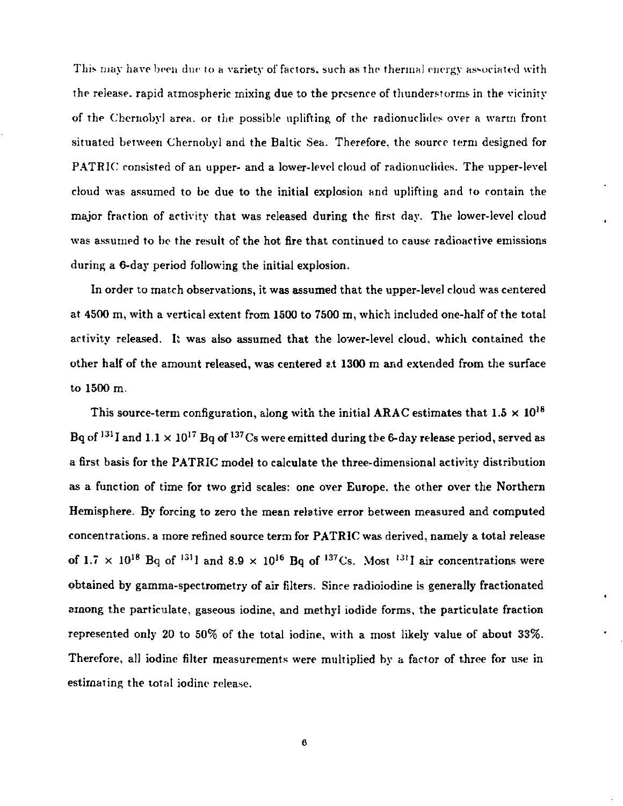This may have been due to a variety of factors, such as the thermal energy associated with the release, rapid atmospheric mixing due to the presence of thunderstorms in the vicinity of the Chernobyl area, or the possible uplifting of the radionuclides over a warm front situated between Chernobyl and the Baltic Sea. Therefore, the source term designed for PATRIC consisted of an upper- and a lower-level cloud of radionuclides. The upper-level cloud was assumed to be due to the initial explosion and uplifting and to contain the major fraction of activity that was released during the first day. The lower-level cloud was assumed to be the result of the hot fire that continued to cause radioactive emissions during a 6-day period following the initial explosion.

In order to match observations, it was assumed that the upper-level cloud was centered at 4500 m, with a vertical extent from 1500 to 7500 m, which included one-half of the total activity released. It was also assumed that the lower-level cloud, which contained the other half of the amount released, was centered s.t 1300 m and extended from the surface to 1500 m.

This source-term configuration, along with the initial ARAC estimates that  $1.5 \times 10^{18}$ Bq of  $^{134}$  I and 1.1  $\times$  10 $^{17}$  Bq of  $^{137}$ Cs were emitted during the 6-day release period, served as a first basis for the PATRIC model to calculate the three-dimensional activity distribution as a function of time for two grid scales: one over Europe, the other over the Northern Hemisphere. By forcing to zero the mean relative error between measured and computed concentrations, a more refined source term for PATRIC was derived, namely a total release of  $1.7 \times 10^{18}$  Bq of  $^{131}$  I and  $8.9 \times 10^{16}$  Bq of  $^{137}$ Cs. Most  $^{131}$  I air concentrations were obtained by gamma-spectrometry of air filters. Since radioiodine is generally fractionated among the particulate, gaseous iodine, and methyl iodide forms, the particulate fraction represented only 20 to 50% of the total iodine, with a most likely value of about 33%. Therefore, all iodine filter measurements were multiplied by a factor of three for use in estimating the total iodine release.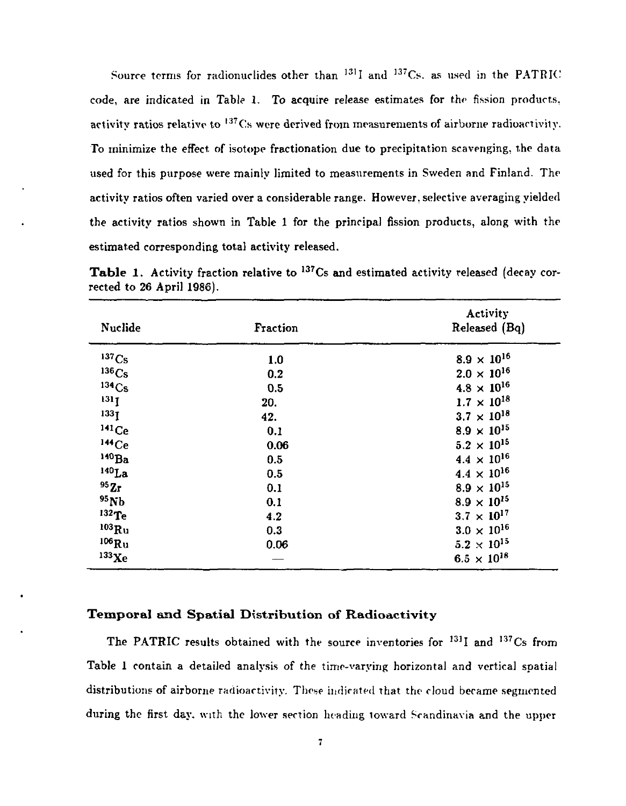Source terms for radionuclides other than <sup>131</sup>I and <sup>137</sup>Cs, as used in the PATRIC code, are indicated in Table 1. To acquire release estimates for the fission products, activity ratios relative to <sup>137</sup>Cs were derived from measurements of airborne radioactivity. To minimize the effect of isotope fractionation due to precipitation scavenging, the data used for this purpose were mainly limited to measurements in Sweden and Finland. The activity ratios often varied over a considerable range. However, selective averaging yielded the activity ratios shown in Table 1 for the principal fission products, along with the estimated corresponding total activity released.

| Nuclide             | Fraction | Activity<br>Released (Bq) |
|---------------------|----------|---------------------------|
| 137C <sub>S</sub>   | 1.0      | $8.9 \times 10^{16}$      |
| 136C <sub>S</sub>   | 0.2      | $2.0 \times 10^{16}$      |
| 134Cs               | 0.5      | $4.8 \times 10^{16}$      |
| 1311                | 20.      | $1.7 \times 10^{18}$      |
| 1331                | 42.      | $3.7 \times 10^{18}$      |
| $^{141}\mathrm{Ce}$ | 0.1      | $8.9 \times 10^{15}$      |
| 144Ce               | 0.06     | $5.2 \times 10^{15}$      |
| $140$ $Ba$          | 0.5      | $4.4 \times 10^{16}$      |
| $140$ La            | 0.5      | $4.4 \times 10^{16}$      |
| 95Zr                | 0.1      | $8.9 \times 10^{15}$      |
| 95Nb                | 0.1      | $8.9 \times 10^{15}$      |
| $^{132}$ Te         | 4.2      | $3.7 \times 10^{17}$      |
| $^{103}\mathrm{Ru}$ | 0.3      | $3.0 \times 10^{16}$      |
| $106$ Ru            | 0.06     | $5.2 \times 10^{15}$      |
| $^{133}\mathrm{Xe}$ |          | $6.5 \times 10^{18}$      |

**Table 1.** Activity fraction relative to <sup>137</sup>Cs and estimated activity released (decay corrected to 26 April 1986).

### **Temporal and Spatial Distribution of Radioactivity**

The PATRIC results obtained with the source inventories for  $^{131}$ I and  $^{137}$ Cs from Table 1 contain a detailed analysis of the time-varying horizontal and vertical spatial distributions of airborne radioactivity. These indicated that the cloud became segmented during the first day. with the lower section heading toward Scandinavia and the upper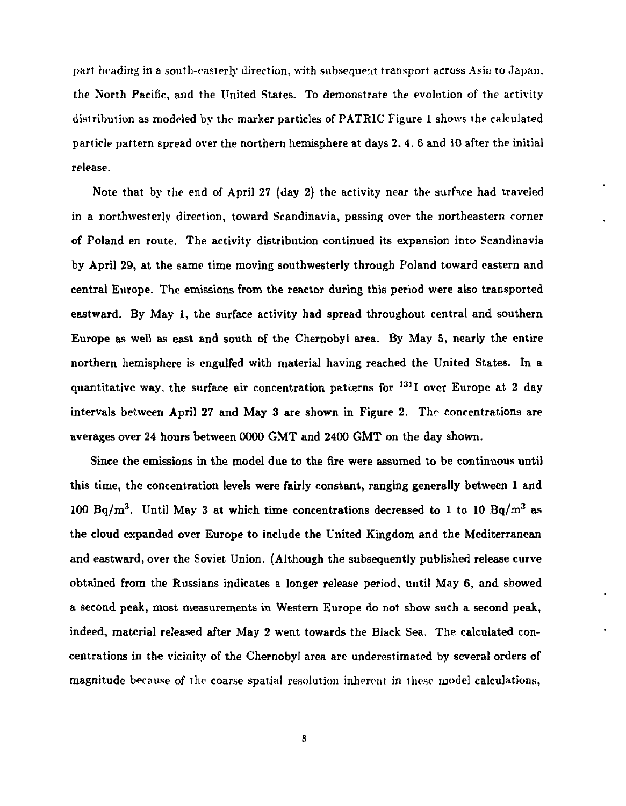part heading in a south-easterly direction, with subsequent transport across Asia to Japan, the North Pacific, and the United States. To demonstrate the evolution of the activity distribution as modeled by the marker particles of PATRIC Figure 1 shows the calculated particle pattern spread over the northern hemisphere at days 2. 4. 6 and 10 after the initial release.

Note that by the end of April 27 (day 2) the activity near the surface had traveled in a northwesterly direction, toward Scandinavia, passing over the northeastern corner of Poland en route. The activity distribution continued its expansion into Scandinavia by April 29, at the same time moving southwesterly through Poland toward eastern and central Europe. The emissions from the reactor during this period were also transported eastward. By May 1, the surface activity had spread throughout central and southern Europe as well as east and south of the Chernobyl area. By May 5, nearly the entire northern hemisphere is engulfed with material having reached the United States. In a quantitative way, the surface air concentration patterns for  $^{131}$ I over Europe at 2 day intervals between April 27 and May 3 are shown in Figure 2. The concentrations are averages over 24 hours between 0000 GMT and 2400 GMT on the day shown.

Since the emissions in the model due to the fire were assumed to be continuous until this time, the concentration levels were fairly constant, ranging generally between 1 and 100 Bq/m<sup>3</sup>. Until May 3 at which time concentrations decreased to 1 to 10 Bq/m<sup>3</sup> as the cloud expanded over Europe to include the United Kingdom and the Mediterranean and eastward, over the Soviet Union. (Although the subsequently published release curve obtained from the Russians indicates a longer release period, until May 6, and showed a second peak, most measurements in Western Europe do not show such a second peak, indeed, material released after May 2 went towards the Black Sea. The calculated concentrations in the vicinity of the Chernobyl area are underestimated by several orders of magnitude because of the coarse spatial resolution inherent in these model calculations,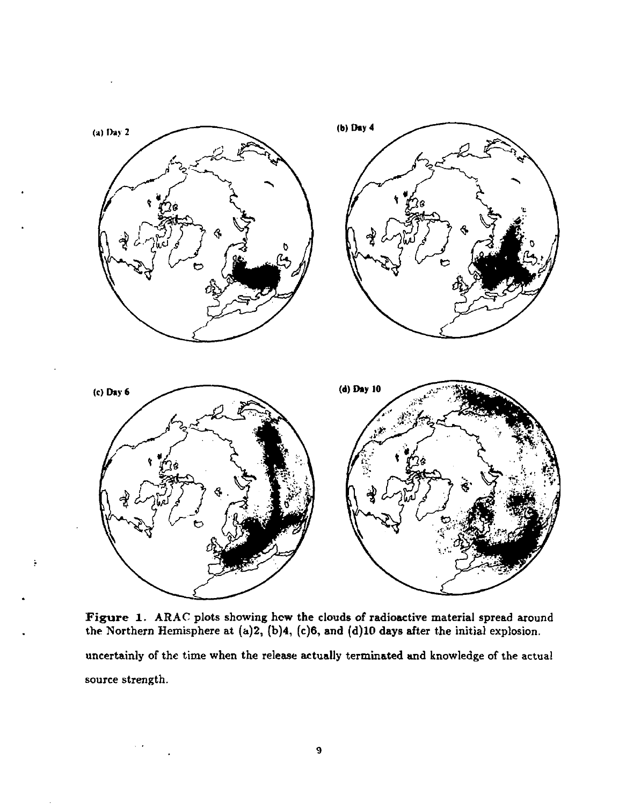

**Figure 1.** ARAC plots showing hew the clouds of radioactive material spread around the Northern Hemisphere at (a)2, (b)4, (c)6, and (d)10 days after the initial explosion. uncertainly of the time when the release actually terminated and knowledge of the actual source strength.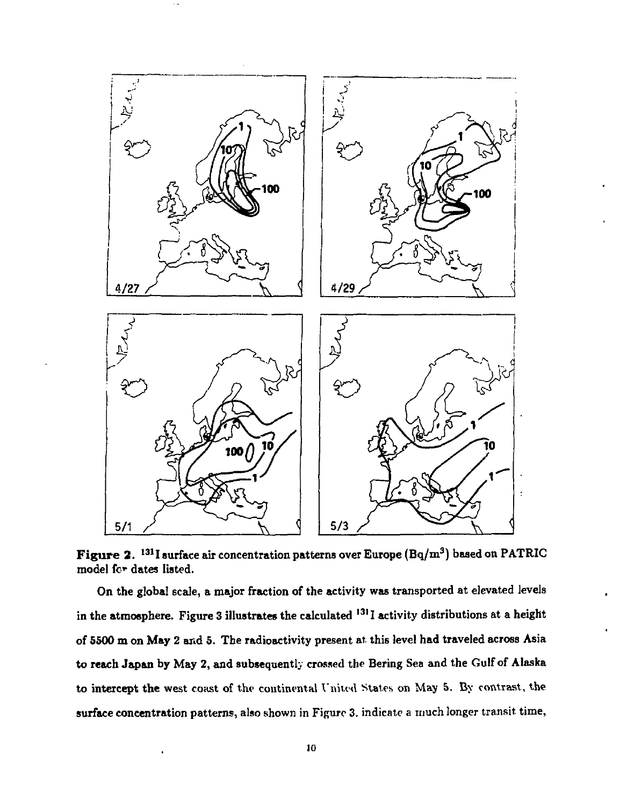

**Figure 2. <sup>131</sup> 1 surface air concentration patterns over Europe (Bq/m<sup>3</sup> ) based on PATRIC model** *ftp* **dates listed.** 

**On the global scale, a major fraction of the activity was transported at elevated levels in the atmosphere. Figure 3 illustrates the calculated l31 1 activity distributions at a height of 5500 m on May 2 and 5. The radioactivity present at this level had traveled across Asia to reach Japan by May 2, and subsequently crossed the Bering Sea and the Gulf of Alaska to intercept the west coast of the continental United States on May 5. By contrast, the**  surface concentration patterns, also shown in Figure 3. indicate a much longer transit time,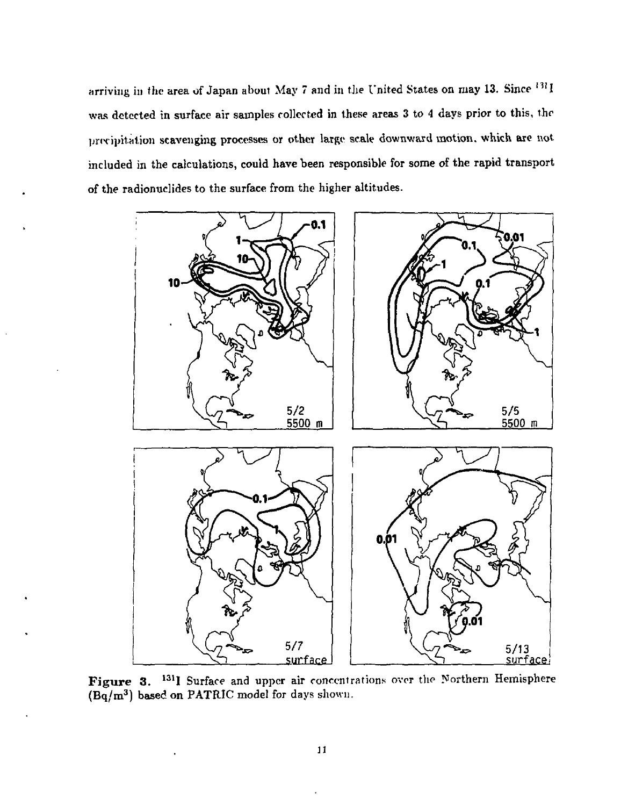arriving in the area of Japan about May 7 and in the United States on may 13. Since  $^{10}$  I was detected in surface air samples collected in these areas 3 to 4 days prior to this, the precipitation scavenging processes or other large scale downward motion, which are not included in the calculations, could have been responsible for some of the rapid transport of the radionuclides to the surface from the higher altitudes.



Figure 3. <sup>131</sup>I Surface and upper air concentrations over the Northern Hemisphere  $(Bq/m^3)$  based on PATRIC model for days shown.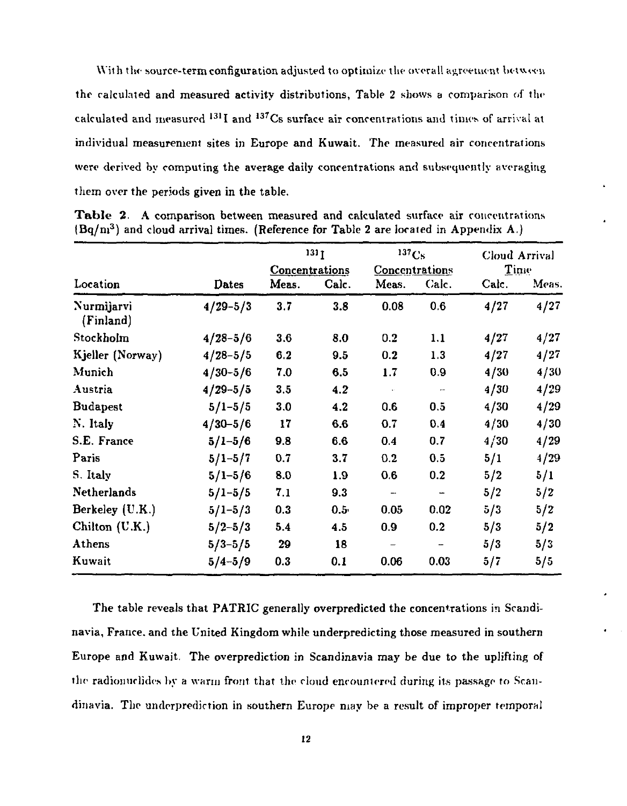With the source-term configuration adjusted to optimize the overall agreement between the calculated and measured activity distributions, Table 2 shows a comparison of tincalculated and measured <sup>131</sup>I and <sup>137</sup>Cs surface air concentrations and times of arrival at individual measurement sites in Europe and Kuwait. The measured air concentrations were derived by computing the average daily concentrations and subsequently averaging them over the periods given in the table.

|                         |              | 131 <sub>1</sub><br><b>Concentrations</b> |                  | $^{137}\mathrm{Cs}$<br><b>Concentrations</b> |                          | Cloud Arrival<br>Time |       |
|-------------------------|--------------|-------------------------------------------|------------------|----------------------------------------------|--------------------------|-----------------------|-------|
|                         |              |                                           |                  |                                              |                          |                       |       |
| Location                | Dates        | Meas.                                     | Calc.            | Meas.                                        | Calc.                    | Calc.                 | Meas. |
| Nurmijarvi<br>(Finland) | $4/29 - 5/3$ | 3.7                                       | 3.8              | 0.08                                         | 0.6                      | 4/27                  | 4/27  |
| Stockholm               | $4/28 - 5/6$ | 3.6                                       | 8.0              | 0.2                                          | 1.1                      | 4/27                  | 4/27  |
| Kjeller (Norway)        | $4/28 - 5/5$ | 6.2                                       | 9.5              | 0.2                                          | 1.3                      | 4/27                  | 4/27  |
| Munich                  | $4/30 - 5/6$ | 7.0                                       | 6.5              | 1.7                                          | 0.9                      | 4/30                  | 4/30  |
| Austria                 | $4/29 - 5/5$ | 3.5                                       | 4.2              |                                              | $\overline{\phantom{a}}$ | 4/30                  | 4/29  |
| <b>Budapest</b>         | $5/1 - 5/5$  | 3.0                                       | 4.2              | 0.6                                          | 0.5                      | 4/30                  | 4/29  |
| N. Italy                | $4/30 - 5/6$ | 17                                        | 6.6              | 0.7                                          | 0.4                      | 4/30                  | 4/30  |
| S.E. France             | $5/1 - 5/6$  | 9.8                                       | 6.6              | 0.4                                          | 0.7                      | 4/30                  | 4/29  |
| Paris                   | $5/1 - 5/7$  | 0.7                                       | 3.7              | 0.2                                          | 0.5                      | 5/1                   | 4/29  |
| S. Italy                | $5/1 - 5/6$  | 8.0                                       | 1.9              | 0.6                                          | 0.2                      | 5/2                   | 5/1   |
| Netherlands             | $5/1 - 5/5$  | 7.1                                       | 9.3              | --                                           | $\overline{\phantom{a}}$ | 5/2                   | 5/2   |
| Berkeley $(U.K.)$       | $5/1 - 5/3$  | 0.3                                       | 0.5 <sub>1</sub> | 0.05                                         | 0.02                     | 5/3                   | 5/2   |
| Chilton (U.K.)          | $5/2 - 5/3$  | 5.4                                       | 4.5              | 0.9                                          | 0.2                      | 5/3                   | 5/2   |
| Athens                  | $5/3 - 5/5$  | 29                                        | 18               |                                              | -                        | 5/3                   | 5/3   |
| Kuwait                  | $5/4 - 5/9$  | 0.3                                       | 0.1              | 0.06                                         | 0.03                     | 5/7                   | 5/5   |

**Table 2.** A comparison between measured and calculated surface air concentrations  $(Bq/n<sup>3</sup>)$  and cloud arrival times. (Reference for Table 2 are located in Appendix A.)

The table reveals that PATRIC generally overpredicted the concentrations in Scandinavia, France, and the United Kingdom while underpredicting those measured in southern Europe and Kuwait. The overprediction in Scandinavia may be due to the uplifting of the radionuclides by a warm front that the cloud encountered during its passage to Scandinavia. The underpredjetion in southern Europe may be a result of improper temporal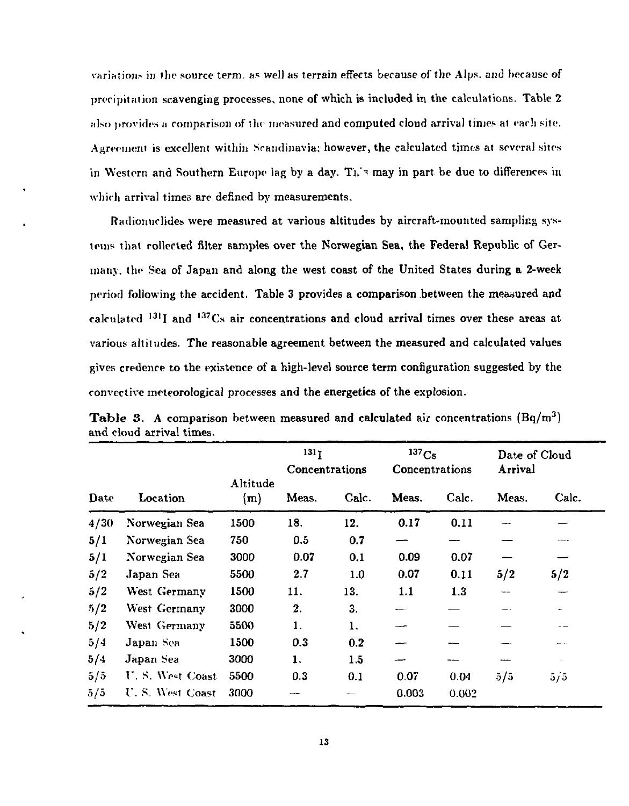variations in the source term, as well as terrain effects because of the Alps, and because of precipitation scavenging processes, none of which is included in the calculations. Table 2 also provides a comparison of the measured and computed cloud arrival times at each site. Agreement is excellent within Scandinavia; however, the calculated times at several sites in Western and Southern Europe lag by a day. This may in part be due to differences in which arrival times are defined by measurements.

Radionuclides were measured at various altitudes by aircraft-mounted sampling systems that collected filter samples over the Norwegian Sea, the Federal Republic of Germany, the Sea of Japan and along the west coast of the United States during a 2-week period following the accident. Table 3 provides a comparison between the measured and calculated  $^{131}$ I and  $^{137}$ Cs air concentrations and cloud arrival times over these areas at various altitudes. The reasonable agreement between the measured and calculated values gives credence to the existence of a high-level source term configuration suggested by the convective meteorological processes and the energetics of the explosion.

|      |                 |                 | 131 <sub>1</sub><br>Concentrations |       | $^{137}Cs$<br>Concentrations |       | Date of Cloud<br>Arrival |       |
|------|-----------------|-----------------|------------------------------------|-------|------------------------------|-------|--------------------------|-------|
| Date | Location        | Altitude<br>(m) | Meas.                              | Calc. | Meas.                        | Calc. | Meas.                    | Calc. |
| 4/30 | Norwegian Sea   | 1500            | 18.                                | 12.   | 0.17                         | 0.11  |                          |       |
| 5/1  | Norwegian Sea   | 750             | 0.5                                | 0.7   |                              |       |                          |       |
| 5/1  | Norwegian Sea   | 3000            | 0.07                               | 0.1   | 0.09                         | 0.07  |                          |       |
| 5/2  | Japan Sea       | 5500            | 2.7                                | 1.0   | 0.07                         | 0.11  | 5/2                      | 5/2   |
| 5/2  | West Germany    | 1500            | 11.                                | 13.   | 1.1                          | 1.3   | $\sim$                   |       |
| 5/2  | West Germany    | 3000            | 2.                                 | 3.    |                              |       |                          |       |
| 5/2  | West Germany    | 5500            | 1.                                 | 1.    |                              |       |                          |       |
| 5/4  | Japan Sea       | 1500            | 0.3                                | 0.2   |                              |       |                          |       |
| 5/4  | Japan Sea       | 3000            | 1.                                 | 1.5   |                              |       |                          |       |
| 5/5  | U.S. West Coast | 5500            | 0.3                                | 0.1   | 0.07                         | 0.04  | 5/5                      | 5/5   |
| 5/5  | U.S. West Coast | 3000            |                                    |       | 0.003                        | 0.002 |                          |       |

**Table 3.** A comparison between measured and calculated air concentrations  $(Bq/m^3)$ and cloud arrival times.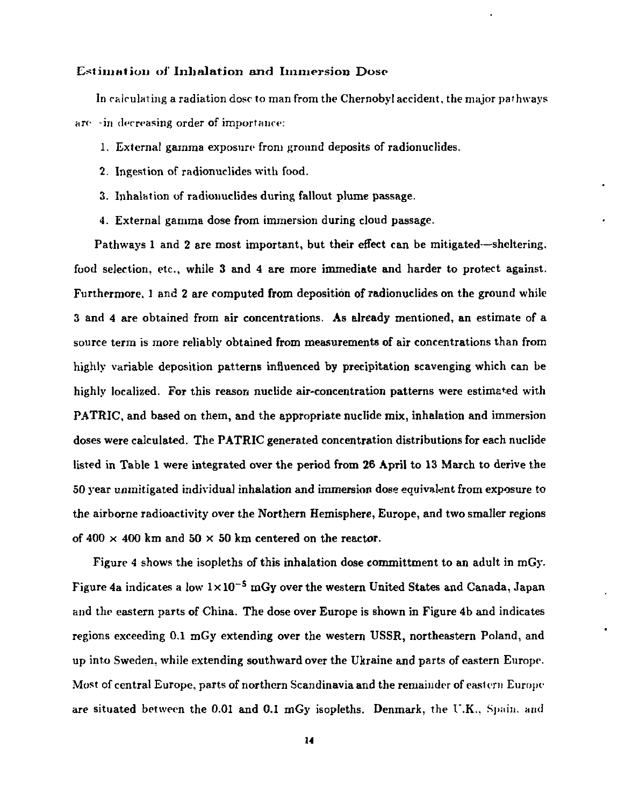#### Estimation of Inhalation and Immersion Dose

In calculating a radiation dose to man from the Chernobyl accident, the major pathways arc -in decreasing order of importance:

- 1. External gamma exposure from ground deposits of radionuclides.
- 2. Ingestion of radionuclides with food.
- 3. Inhalation of radionuclides during fallout plume passage.
- *4.* External gamma dose from immersion during cloud passage.

Pathways 1 and 2 are most important, but their effect can be mitigated—sheltering, food selection, etc., while 3 and 4 are more immediate and harder to protect against. Furthermore, 1 and 2 are computed from deposition of radionuclides on the ground while 3 and 4 are obtained from air concentrations. As already mentioned, an estimate of a source term is more reliably obtained from measurements of air concentrations than from highly variable deposition patterns influenced by precipitation scavenging which can be highly localized. For this reason nuclide air-concentration patterns were estimated with PATRIC, and based on them, and the appropriate nuclide mix, inhalation and immersion doses were calculated. The PATRIC generated concentration distributions for each nuclide listed in Table 1 were integrated over the period from 26 April to 13 March to derive the 50 year unmitigated individual inhalation and immersion dose equivalent from exposure to the airborne radioactivity over the Northern Hemisphere, Europe, and two smaller regions of  $400 \times 400$  km and  $50 \times 50$  km centered on the reactor.

Figure 4 shows the isopleths of this inhalation dose committment to an adult in mGy. Figure 4a indicates a low  $1 \times 10^{-5}$  mGy over the western United States and Canada, Japan and the eastern parts of China. The dose over Europe is shown in Figure 4b and indicates regions exceeding 0.1 mGy extending over the western USSR, northeastern Poland, and up into Sweden, while extending southward over the Ukraine and parts of eastern Europe. Most of central Europe, parts of northern Scandinavia and the remainder of eastern Europe are situated between the 0.01 and *0.1 mGy* isopleths. Denmark, the U.K., Spain, and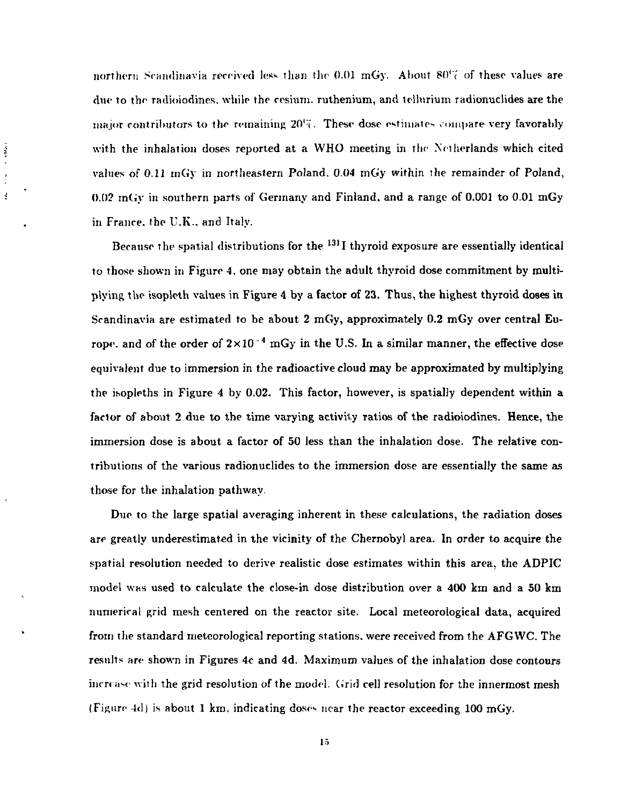northern Scandinavia received less than the 0.01 mGy. About 80°% of these values are due to the radioiodines. while the cesium, ruthenium, and tellurium radionuclides are the major contributors to the remaining  $20\%$ . These dose estimate-scompare very favorably with the inhalation doses reported at a WHO meeting in the Netherlands which cited values of 0.11 mGy in northeastern Poland. 0.04 mGy within the remainder of Poland, 0.0? mGy in southern parts of Germany and Finland, and a range of 0.001 to 0.01 mGy in France, the U.K.. and Italy.

 $\sim$  35  $\mu$ 

 $\frac{3}{2}$ 

Because the spatial distributions for the <sup>131</sup>I thyroid exposure are essentially identical to those shown in Figure 4, one may obtain the adult thyroid dose commitment by multiplying the isopleth values in Figure 4 by a factor of 23. Thus, the highest thyroid doses in Scandinavia are estimated to be about 2 mGy, approximately 0.2 mGy over central Europe, and of the order of  $2\times10^{-4}$  mGy in the U.S. In a similar manner, the effective dose equivalent due to immersion in the radioactive cloud may be approximated by multiplying the isopleths in Figure 4 by 0.02. This factor, however, is spatially dependent within a factor of about 2 due to the time varying activity ratios of the radioiodines. Hence, the immersion dose is about a factor of 50 less than the inhalation dose. The relative contributions of the various radionuclides to the immersion dose are essentially the same as those for the inhalation pathway.

Due to the large spatial averaging inherent in these calculations, the radiation doses are greatly underestimated in the vicinity of the Chernobyl area. In order to acquire the spatial resolution needed to derive realistic dose estimates within this area, the ADPIC model was used to calculate the close-in dose distribution over a 400 km and a 50 km numerical grid mesh centered on the reactor site. Local meteorological data, acquired from the standard meteorological reporting stations, were received from the AFGWC. The results are shown in Figures 4c and 4d. Maximum values of the inhalation dose contours increase with the grid resolution of the model. Grid cell resolution for the innermost mesh (Figure 4d) is about 1 km, indicating doses near the reactor exceeding 100 mGy.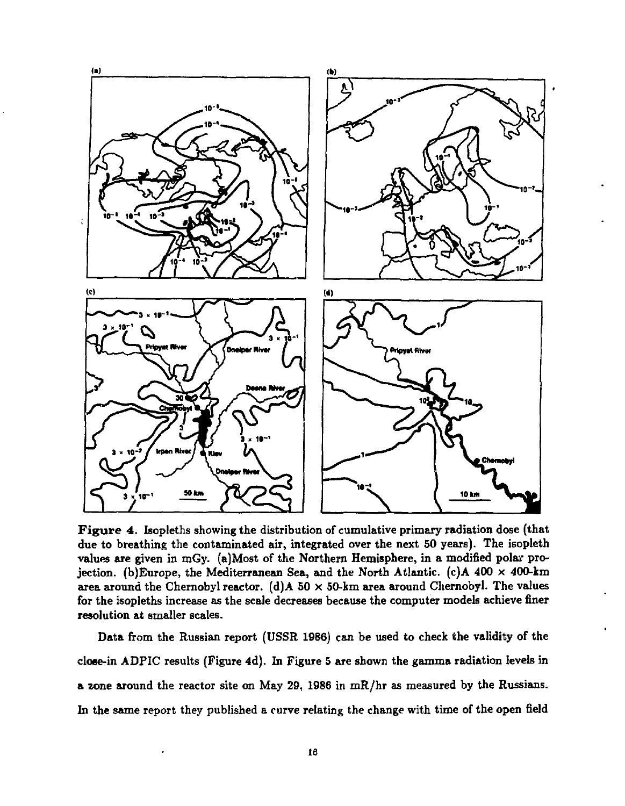

Figure 4. Isopleths showing the distribution of cumulative primary radiation dose (that due to breathing the contaminated air, integrated over the next 50 years). The isopleth values are given in mGy. (a)Most of the Northern Hemisphere, in a modified polar projection. (b)Europe, the Mediterranean Sea, and the North Atlantic. (c)A  $400 \times 400$ -km area around the Chernobyl reactor. (d)A 50  $\times$  50-km area around Chernobyl. The values for the isopleths increase as the scale decreases because the computer models achieve finer resolution at smaller scales.

Data from the Russian report (USSR 1986) can be used to check the validity of the close-in ADPIC results (Figure 4d). In Figure 5 are shown the gamma radiation levels in a zone around the reactor site on May 29, 1986 in mR/hr as measured by the Russians. In the same report they published a curve relating the change with time of the open field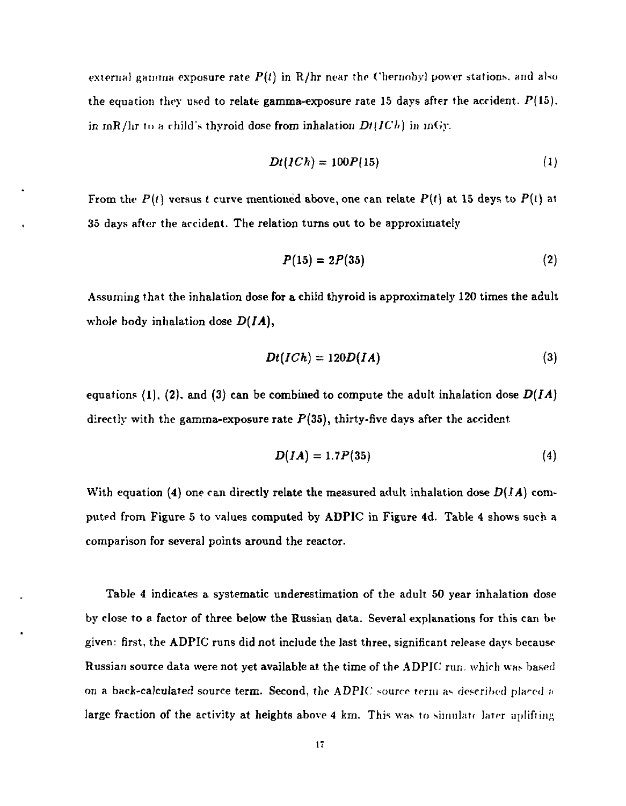external gainma exposure rate  $P(t)$  in R/hr near the Chernobyl power stations, and also the equation they used to relate gamma-exposure rate 15 days after the accident.  $P(15)$ . in  $mR/hr$  to a child's thyroid dose from inhalation  $Dt(ICh)$  in  $mGy$ .

$$
Dt(1Ch) = 100P(15) \tag{1}
$$

From the *P(t)* versus *t* curve mentioned above, one can relate *P(t)* at 15 days to *P(t)* at 35 days after the accident. The relation turns out to be approximately

$$
P(15) = 2P(35) \tag{2}
$$

Assuming that the inhalation dose for a child thyroid is approximately 120 times the adult whole body inhalation dose *D(IA),* 

$$
Dt(ICh) = 120D(IA) \tag{3}
$$

equations (1), (2), and (3) can be combined to compute the adult inhalation dose  $D(IA)$ directly with the gamma-exposure rate  $P(35)$ , thirty-five days after the accident.

$$
D(IA) = 1.7P(35) \tag{4}
$$

With equation (4) one can directly relate the measured adult inhalation dose  $D(IA)$  computed from Figure 5 to values computed by ADPIC in Figure 4d. Table 4 shows such a comparison for several points around the reactor.

Table 4 indicates a systematic underestimation of the adult 50 year inhalation dose by close to a factor of three below the Russian data. Several explanations for this can be given: first, the ADPIC runs did not include the last three, significant release days because Russian source data were not yet available at the time of the ADPIC run, which was based on a back-calculated source term. Second, the ADPIC source term as described placed a large fraction of the activity at heights above 4 km. This was to simulate later uplifting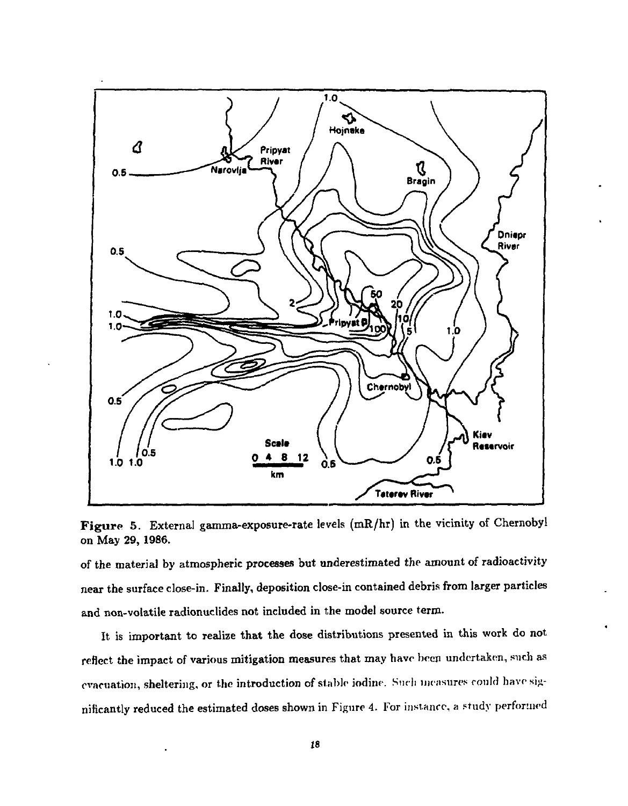

Figure 5. External gamma-exposure-rate levels (mR/hr) in the vicinity of Chernobyl on May 29, 1986.

of the material by atmospheric processes but underestimated the amount of radioactivity near the surface close-in. Finally, deposition close-in contained debris from larger particles and non-volatile radionuclides not included in the model source term.

It is important to realize that the dose distributions presented in this work do not reflect the impact of various mitigation measures that may have been undertaken, such as evacuation, sheltering, or the introduction of stable iodine. Such measures could have significantly reduced the estimated doses shown in Figure 4. For instance, a study performed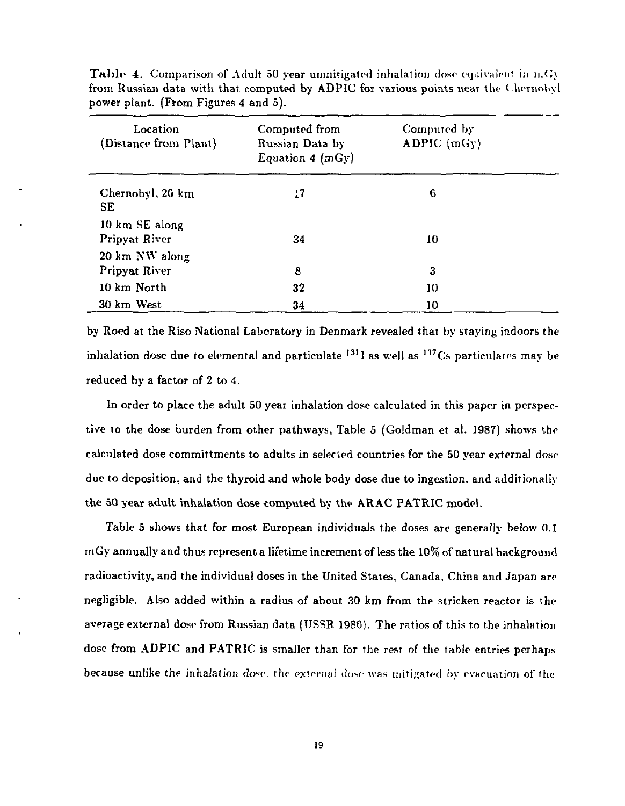| Location<br>(Distance from Plant) | Computed from<br>Russian Data by<br>Equation 4 $(mGy)$ | Computed by<br>$ADPIC$ (mGy) |  |
|-----------------------------------|--------------------------------------------------------|------------------------------|--|
| Chernobyl, 20 km<br>SE            | 17                                                     | 6                            |  |
| 10 km SE along<br>Pripyat River   | 34                                                     | 10                           |  |
| 20 km NW along<br>Pripyat River   | 8                                                      | 3                            |  |
| 10 km North                       | 32                                                     | 10                           |  |
| 30 km West                        | 34                                                     | 10                           |  |

**Table 4.** Comparison of Adult 50 year unmitigated inhalation dose equivalent in mGy from Russian data with that computed by ADPIC for various points near the Chernobyl power plant. (From Figures 4 and 5).

by Roed at the Riso National Laboratory in Denmark revealed that by staying indoors the inhalation dose due to elemental and particulate  $^{131}{\rm I}$  as well as  $^{137}{\rm Cs}$  particulates may be reduced by a factor of 2 to 4.

In order to place the adult 50 year inhalation dose calculated in this paper in perspective to the dose burden from other pathways, Table 5 (Goldman et al. 1987) shows the calculated dose committments to adults in selected countries for the 50 year external dose due to deposition, and the thyroid and whole body dose due to ingestion, and additionally the 50 year adult inhalation dose computed by the ARAC PATRIC model.

Table 5 shows that for most European individuals the doses are generally below 0.1 mGy annually and thus represent a lifetime increment of less the 10% of natural background radioactivity, and the individual doses in the United States, Canada. China and Japan are negligible. Also added within a radius of about 30 km from the stricken reactor is the average external dose from Russian data (USSR 1986). The ratios of this to the inhalation dose from ADPIC and PATRIC is smaller than for the rest of the table entries perhaps because unlike the inhalation dose, the external dose was mitigated by evacuation of the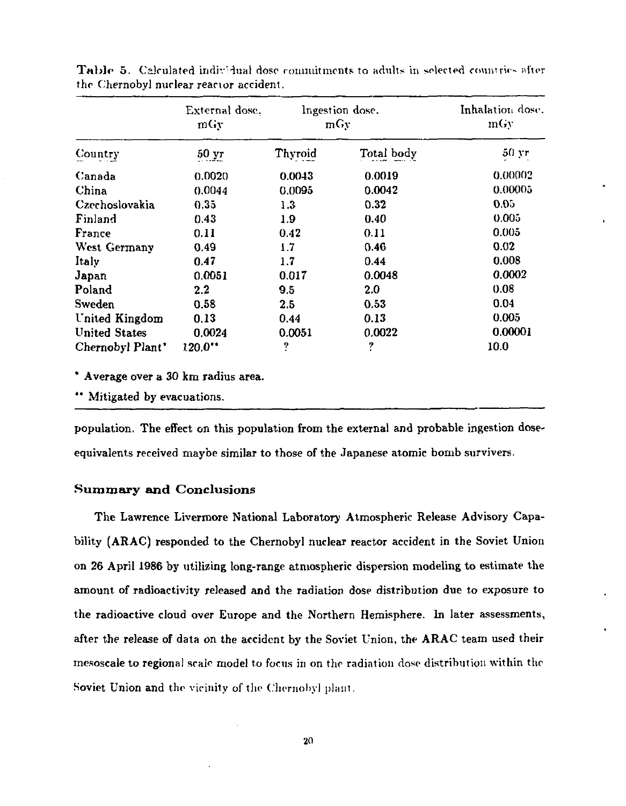|                      | External dosc.<br>mGy | Ingestion dose.<br>mGy |            | Inhalation dose.<br>m(y) |  |
|----------------------|-----------------------|------------------------|------------|--------------------------|--|
| Country              | 50 yr                 | Thyroid                | Total body | 50 yr                    |  |
| Canada               | 0.0020                | 0.0043                 | 0.0019     | 0.00002                  |  |
| China                | 0.0044                | 0.0095                 | 0.0042     | 0.00005                  |  |
| Czechoslovakia       | 0.35                  | 1.3                    | 0.32       | 0.05                     |  |
| Finland              | 0.43                  | 1.9                    | 0.40       | 0.005                    |  |
| France               | 0.11                  | 0.42                   | 0.11       | 0.005                    |  |
| West Germany         | 0.49                  | 1.7                    | 0.46       | 0.02                     |  |
| Italy                | 0.47                  | 1.7                    | 0.44       | 0.008                    |  |
| Japan                | 0.0051                | 0.017                  | 0.0048     | 0.0002                   |  |
| Poland               | $2.2\,$               | 9.5                    | 2.0        | 0.08                     |  |
| Sweden               | 0.58                  | 2.5                    | 0.53       | 0.04                     |  |
| United Kingdom       | 0.13                  | 0.44                   | 0.13       | 0.005                    |  |
| <b>United States</b> | 0.0024                | 0.0051                 | 0.0022     | 0.00001                  |  |
| Chernobyl Plant'     | $120.0$ **            | ?                      | ?          | 10.0                     |  |

Table 5. Calculated individual dose commitments to adults in selected countries after the Chernobyl nuclear reactor accident.

\* Average over a 30 km radius area.

" Mitigated by evacuations.

population. The effect on this population from the external and probable ingestion doseequivalents received maybe similar to those of the Japanese atomic bomb survivers.

#### **Summary and Conclusions**

The Lawrence Livermore National Laboratory Atmospheric Release Advisory Capability (ARAC) responded to the Chernobyl nuclear reactor accident in the Soviet Union on 26 April 1986 by utilizing long-range atmospheric dispersion modeling to estimate the amount of radioactivity released and the radiation dose distribution due to exposure to the radioactive cloud over Europe and the Northern Hemisphere. In later assessments, after the release of data on the accident by the Soviet Union, the ARAC team used their mesoscale to regional scale model to focus in on the radiation dose distribution within the Soviet Union and the vicinity of the Chernohyl plant.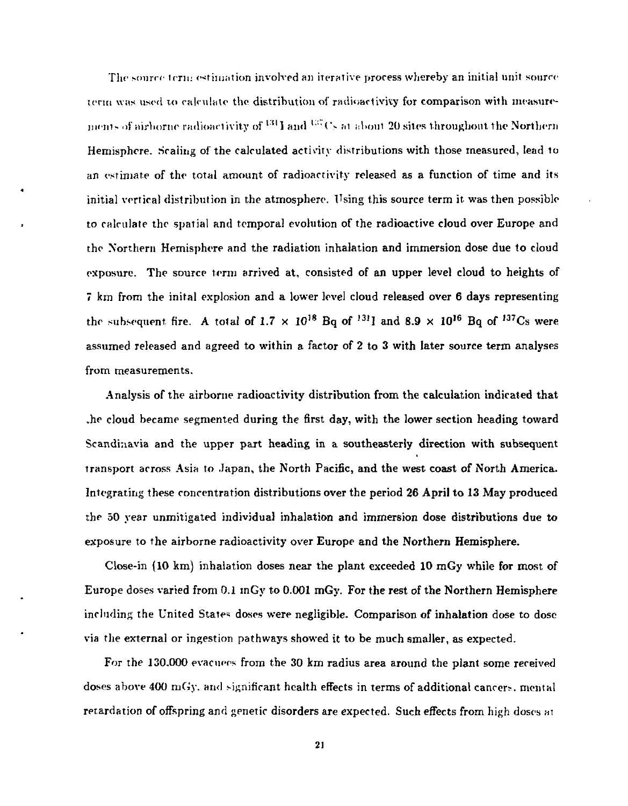The source tern: estimation involved an iterative process whereby an initial unit source term was used to calculate the distribution of radioactivity for comparison with measurements of airborne radioactivity of  $^{131}1$  and  $^{137}$ Cs at about 20 sites throughout the Northern Hemisphere. Scaling of the calculated activity distributions with those measured, lead to an estimate of the total amount of radioactivity released as a function of time and its initial vertical distribution in the atmosphere. Using this source term it was then possible to calculate the spatial and temporal evolution of the radioactive cloud over Europe and the Northern Hemisphere and the radiation inhalation and immersion dose due to cloud exposure. The source term arrived at, consisted of an upper level cloud to heights of 7 km from the inital explosion and a lower level cloud released over 6 days representing the subsequent fire. A total of  $1.7 \times 10^{18}$  Bq of  $^{131}$  and  $8.9 \times 10^{16}$  Bq of  $^{137}$ Cs were assumed released and agreed to within a factor of 2 to 3 with later source term analyses from measurements.

Analysis of the airborne radioactivity distribution from the calculation indicated that .he cloud became segmented during the first day, with the lower section heading toward Scandinavia and the upper part heading in a southeasterly direction with subsequent transport across Asia to Japan, the North Pacific, and the west coast of North America. Integrating these concentration distributions over the period 26 April to 13 May produced the 50 year unmitigated individual inhalation and immersion dose distributions due to exposure to the airborne radioactivity over Europe and the Northern Hemisphere.

Close-in (10 km) inhalation doses near the plant exceeded 10 mGy while for most of Europe doses varied from 0.1 inGy to 0.001 mGy. For the rest of the Northern Hemisphere including the United States doses were negligible. Comparison of inhalation dose to dose via the external or ingestion pathways showed it to be much smaller, as expected.

For the 130.000 evacuees from the 30 km radius area around the plant some received doses above 400 mGy. and significant health effects in terms of additional cancers, mental retardation of offspring and genetic disorders are expected. Such effects from high doses at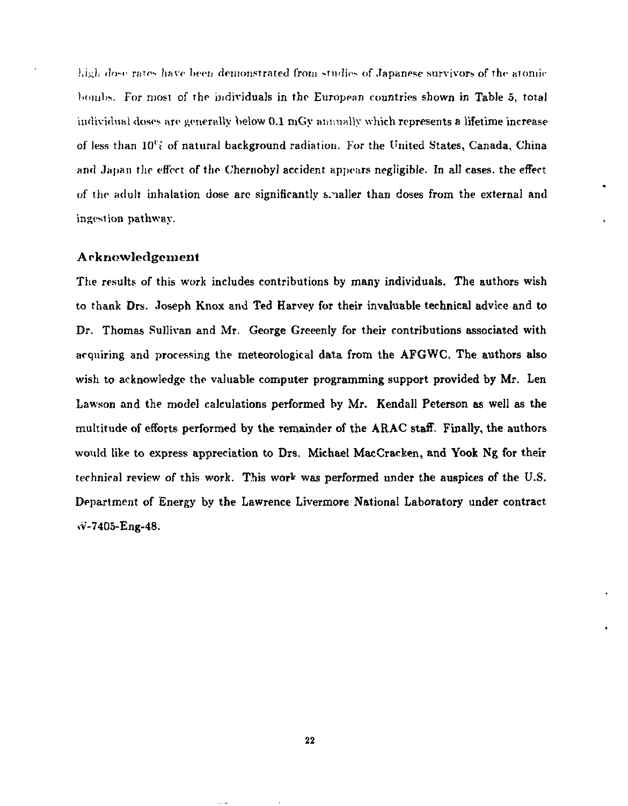high dose rates have been demonstrated from studies of Japanese survivors of the atomic bombs. For most of the individuals in the European countries shown in Table 5, total individual doses are generally below 0.1 mGy annually which represents a lifetime increase of less than 10'< of natural background radiation. For the United States, Canada, China and Japan the effect of the Chernobyl accident appears negligible. In all cases, the effect of the adult inhalation dose are significantly s.naller than doses from the external and ingestion pathway.

#### A cknowledgement

The results of this work includes contributions by many individuals. The authors wish to thank Drs. Joseph Knox and Ted Harvey for their invaluable technical advice and to Dr. Thomas Sullivan and Mr. George Greeenly for their contributions associated with acquiring and processing the meteorological data from the AFGWC. The authors also wish to acknowledge the valuable computer programming support provided by Mr. Len Lawson and the model calculations performed by Mr. Kendall Peterson as well as the multitude of efforts performed by the remainder of the ARAC staff. Finally, the authors would like to express appreciation to Drs. Michael MacCracken, and Yook Ng for their technical review of this work. This work was performed under the auspices of the U.S. Department of Energy by the Lawrence Livermore National Laboratory under contract >V-7405-Eng-48.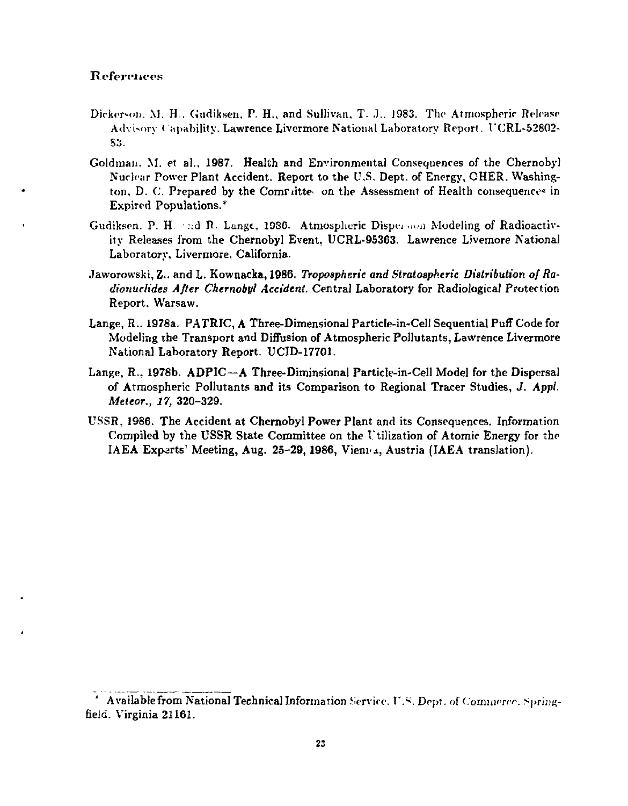# Referoncos

- Dickerson, M. H., Gudiksen, P. H., and Sullivan, T. J., 1983. The Atmospheric Release Advi-ory Capability. Lawrence Livermore National Laboratory Report. UCRL-52802- S:J.
- Goldman. M. et al.. 1987. Health and Environmental Consequences of the Chernobyl Nuclear Power Plant Accident. Report to the U.S. Dept. of Energy, CHER. Washington, D. C. Prepared by the Comrlitte- on the Assessment of Health consequences in Expired Populations.\*
- Gudiksen. P. H. :;d R. Lungt, 10SG. Atmospheric Dispti *uun* Modeling of Radioactivity Releases from the Chernobyl Event. UCRL-95363. Lawrence Livemore National Laboratory, Livermore, California.
- Jaworowski, Z.. and L. Kownacka, **1986.** *Tropospheric and Stratospheric Distribution of Radionuclides After Chernobyl Accident.* Central Laboratory for Radiological Protection Report. Warsaw.
- Lange, R.. 1978a. PATRIC, A Three-Dimensional Particle-in-Cell Sequential Puff Code for Modeling the Transport and Diffusion of Atmospheric Pollutants, Lawrence Livermore National Laboratory Report. UCID-17701.
- Lange, R., 1978b. ADPIC—A Three-Diminsional Particle-in-Cell Model for the Dispersal of Atmospheric Pollutants and its Comparison to Regional Tracer Studies, *J. Appl. Meteor., 17,* 320-329.
- USSR, 1986. The Accident at Chernobyl Power Plant and its Consequences. Information Compiled by the USSR State Committee on the Utilization of Atomic Energy for the IAEA Experts' Meeting, **Aug. 25-29,1986,** Vieni'i, Austria (IAEA translation).

Availablefrom National Technical Information Service. U.S. Dept. of Commerce. Springfield. Virginia 21161.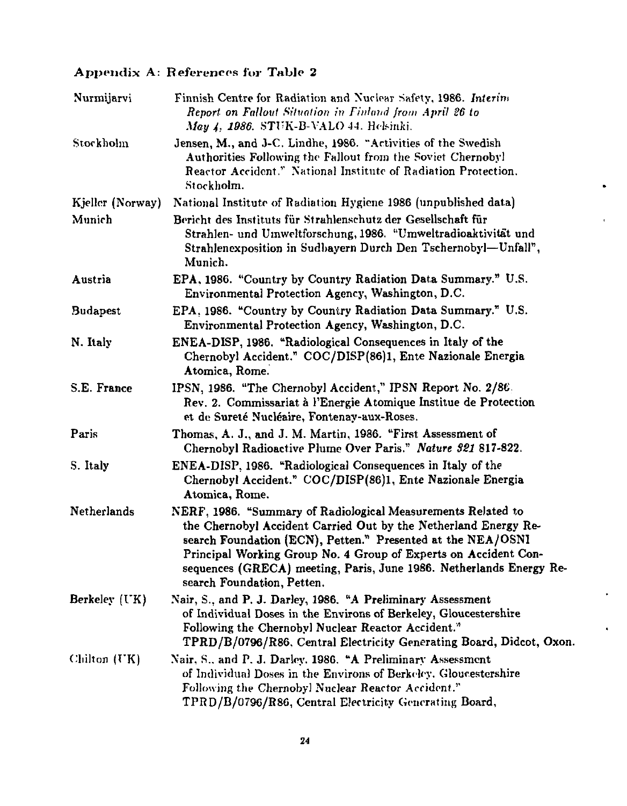# Appendix A: References for Table 2

| Nurmijarvi       | Finnish Centre for Radiation and Nuclear Safety, 1986. Interim<br>Report on Fallout Situation in Finland from April 26 to<br>May 4, 1986. STUK-B-VALO 44. Helsinki.                                                                                                                                                                                                    |
|------------------|------------------------------------------------------------------------------------------------------------------------------------------------------------------------------------------------------------------------------------------------------------------------------------------------------------------------------------------------------------------------|
| Stockholm        | Jensen, M., and J-C. Lindhe, 1986. "Activities of the Swedish<br>Authorities Following the Fallout from the Soviet Chernobyl<br>Reactor Accident." National Institute of Radiation Protection.<br>Stockholm.                                                                                                                                                           |
| Kjeller (Norway) | National Institute of Radiation Hygiene 1986 (unpublished data)                                                                                                                                                                                                                                                                                                        |
| Munich           | Bericht des Instituts für Strahlenschutz der Gesellschaft für<br>Strahlen- und Umweltforschung, 1986. "Umweltradioaktivität und<br>Strahlenexposition in Sudbayern Durch Den Tschernobyl-Unfall",<br>Munich.                                                                                                                                                           |
| Austria          | EPA, 1986. "Country by Country Radiation Data Summary." U.S.<br>Environmental Protection Agency, Washington, D.C.                                                                                                                                                                                                                                                      |
| <b>Budapest</b>  | EPA. 1986. "Country by Country Radiation Data Summary." U.S.<br>Environmental Protection Agency, Washington, D.C.                                                                                                                                                                                                                                                      |
| N. Italy         | ENEA-DISP, 1986. "Radiological Consequences in Italy of the<br>Chernobyl Accident." COC/DISP(86)1, Ente Nazionale Energia<br>Atomica. Rome.                                                                                                                                                                                                                            |
| S.E. France      | IPSN, 1986. "The Chernobyl Accident," IPSN Report No. 2/80.<br>Rev. 2. Commissariat à l'Energie Atomique Institue de Protection<br>et de Sureté Nucléaire, Fontenay-aux-Roses.                                                                                                                                                                                         |
| Paris            | Thomas, A. J., and J. M. Martin, 1986. "First Assessment of<br>Chernobyl Radioactive Plume Over Paris." Nature 321 817-822.                                                                                                                                                                                                                                            |
| S. Italy         | ENEA-DISP, 1986. "Radiological Consequences in Italy of the<br>Chernobyl Accident." COC/DISP(86)1, Ente Nazionale Energia<br>Atomica, Rome.                                                                                                                                                                                                                            |
| Netherlands      | NERF, 1986. "Summary of Radiological Measurements Related to<br>the Chernobyl Accident Carried Out by the Netherland Energy Re-<br>search Foundation (ECN), Petten." Presented at the NEA/OSNI<br>Principal Working Group No. 4 Group of Experts on Accident Con-<br>sequences (GRECA) meeting, Paris, June 1986. Netherlands Energy Re-<br>search Foundation, Petten. |
| Berkeley (UK)    | Nair, S., and P. J. Darley, 1986. "A Preliminary Assessment<br>of Individual Doses in the Environs of Berkeley, Gloucestershire<br>Following the Chernobyl Nuclear Reactor Accident."<br>TPRD/B/0796/R86, Central Electricity Generating Board, Didcot, Oxon.                                                                                                          |
| Chilton (UK)     | Nair, S., and P. J. Darley. 1986. "A Preliminary Assessment<br>of Individual Doses in the Environs of Berkeley. Gloucestershire<br>Following the Chernobyl Nuclear Reactor Accident."<br>TPRD/B/0796/R86, Central Electricity Generating Board,                                                                                                                        |

á,